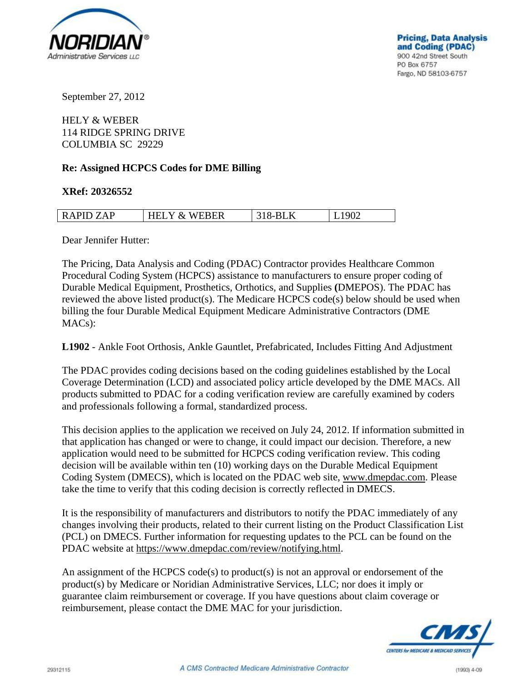

September 27, 2012

HELY & WEBER 114 RIDGE SPRING DRIVE COLUMBIA SC 29229

## **Re: Assigned HCPCS Codes for DME Billing**

## **XRef: 20326552**

| <b>RAP</b><br>ΆP | <b>WEBER</b><br>$v_{-}$<br>`<br>. . | $\mathbf{U}$<br>.,. |  |
|------------------|-------------------------------------|---------------------|--|
|                  |                                     |                     |  |

Dear Jennifer Hutter:

The Pricing, Data Analysis and Coding (PDAC) Contractor provides Healthcare Common Procedural Coding System (HCPCS) assistance to manufacturers to ensure proper coding of Durable Medical Equipment, Prosthetics, Orthotics, and Supplies **(**DMEPOS). The PDAC has reviewed the above listed product(s). The Medicare HCPCS code(s) below should be used when billing the four Durable Medical Equipment Medicare Administrative Contractors (DME MACs):

**L1902** - Ankle Foot Orthosis, Ankle Gauntlet, Prefabricated, Includes Fitting And Adjustment

The PDAC provides coding decisions based on the coding guidelines established by the Local Coverage Determination (LCD) and associated policy article developed by the DME MACs. All products submitted to PDAC for a coding verification review are carefully examined by coders and professionals following a formal, standardized process.

This decision applies to the application we received on July 24, 2012. If information submitted in that application has changed or were to change, it could impact our decision. Therefore, a new application would need to be submitted for HCPCS coding verification review. This coding decision will be available within ten (10) working days on the Durable Medical Equipment Coding System (DMECS), which is located on the PDAC web site, www.dmepdac.com. Please take the time to verify that this coding decision is correctly reflected in DMECS.

It is the responsibility of manufacturers and distributors to notify the PDAC immediately of any changes involving their products, related to their current listing on the Product Classification List (PCL) on DMECS. Further information for requesting updates to the PCL can be found on the PDAC website at https://www.dmepdac.com/review/notifying.html.

An assignment of the HCPCS code(s) to product(s) is not an approval or endorsement of the product(s) by Medicare or Noridian Administrative Services, LLC; nor does it imply or guarantee claim reimbursement or coverage. If you have questions about claim coverage or reimbursement, please contact the DME MAC for your jurisdiction.